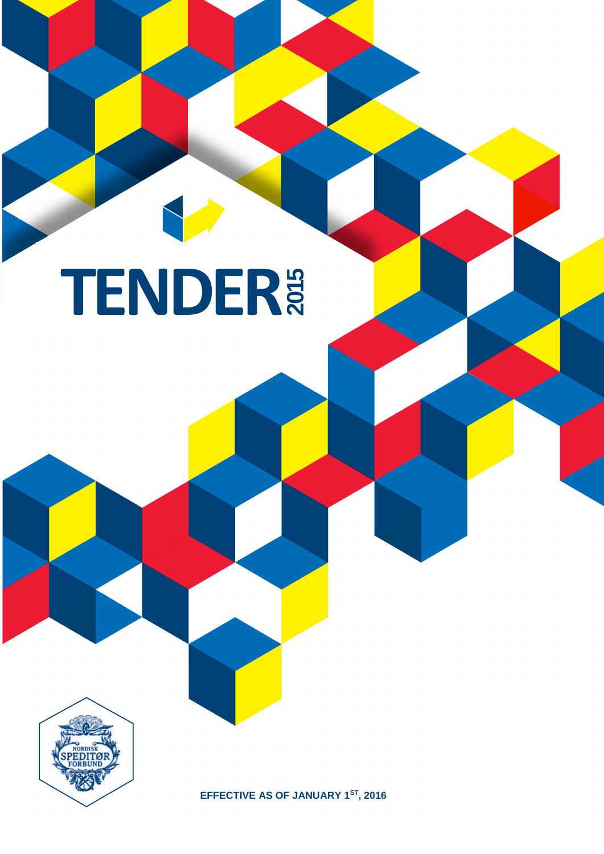## **TENDER 2015**



**EFFECTIVE AS OF JANUARY 1 ST , 2016**